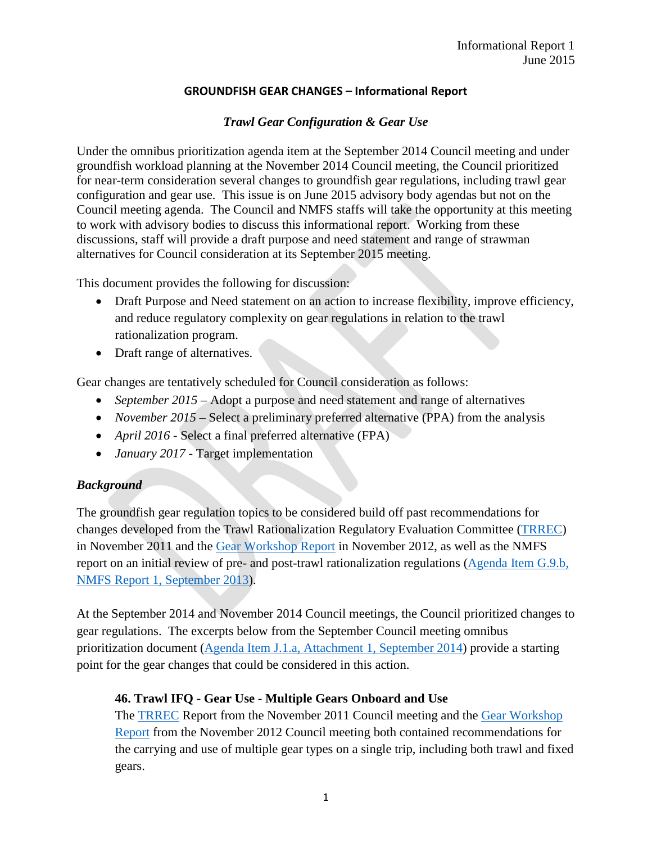### **GROUNDFISH GEAR CHANGES – Informational Report**

### *Trawl Gear Configuration & Gear Use*

Under the omnibus prioritization agenda item at the September 2014 Council meeting and under groundfish workload planning at the November 2014 Council meeting, the Council prioritized for near-term consideration several changes to groundfish gear regulations, including trawl gear configuration and gear use. This issue is on June 2015 advisory body agendas but not on the Council meeting agenda. The Council and NMFS staffs will take the opportunity at this meeting to work with advisory bodies to discuss this informational report. Working from these discussions, staff will provide a draft purpose and need statement and range of strawman alternatives for Council consideration at its September 2015 meeting.

This document provides the following for discussion:

- Draft Purpose and Need statement on an action to increase flexibility, improve efficiency, and reduce regulatory complexity on gear regulations in relation to the trawl rationalization program.
- Draft range of alternatives.

Gear changes are tentatively scheduled for Council consideration as follows:

- *September 2015* Adopt a purpose and need statement and range of alternatives
- *November 2015* Select a preliminary preferred alternative (PPA) from the analysis
- *April 2016* Select a final preferred alternative (FPA)
- *January 2017* Target implementation

# *Background*

The groundfish gear regulation topics to be considered build off past recommendations for changes developed from the Trawl Rationalization Regulatory Evaluation Committee [\(TRREC\)](http://www.pcouncil.org/wp-content/uploads/E7b_SUP_TRREC_NOV2011BB.pdf) in November 2011 and the [Gear Workshop Report](http://www.pcouncil.org/wp-content/uploads/I5a_ATT4_GEAR_WKSHP_NOV2012BB.pdf) in November 2012, as well as the NMFS report on an initial review of pre- and post-trawl rationalization regulations [\(Agenda Item G.9.b,](http://www.pcouncil.org/wp-content/uploads/G9b_NMFS1_SEPT2013BB.pdf)  [NMFS Report 1, September 2013\)](http://www.pcouncil.org/wp-content/uploads/G9b_NMFS1_SEPT2013BB.pdf).

At the September 2014 and November 2014 Council meetings, the Council prioritized changes to gear regulations. The excerpts below from the September Council meeting omnibus prioritization document [\(Agenda Item J.1.a, Attachment 1, September 2014\)](http://www.pcouncil.org/wp-content/uploads/J1a_Att1_TheList_SEPT2014BB.pdf) provide a starting point for the gear changes that could be considered in this action.

# **46. Trawl IFQ - Gear Use - Multiple Gears Onboard and Use**

The [TRREC](http://www.pcouncil.org/wp-content/uploads/E7b_SUP_TRREC_NOV2011BB.pdf) Report from the November 2011 Council meeting and the [Gear Workshop](http://www.pcouncil.org/wp-content/uploads/I5a_ATT4_GEAR_WKSHP_NOV2012BB.pdf)  [Report](http://www.pcouncil.org/wp-content/uploads/I5a_ATT4_GEAR_WKSHP_NOV2012BB.pdf) from the November 2012 Council meeting both contained recommendations for the carrying and use of multiple gear types on a single trip, including both trawl and fixed gears.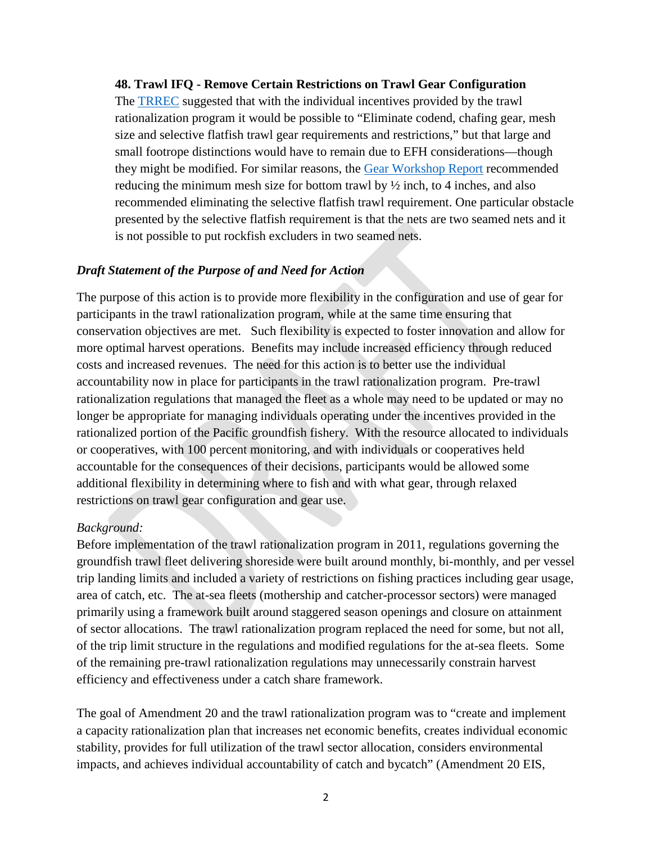#### **48. Trawl IFQ - Remove Certain Restrictions on Trawl Gear Configuration**

The [TRREC](http://www.pcouncil.org/wp-content/uploads/E7b_SUP_TRREC_NOV2011BB.pdf) suggested that with the individual incentives provided by the trawl rationalization program it would be possible to "Eliminate codend, chafing gear, mesh size and selective flatfish trawl gear requirements and restrictions," but that large and small footrope distinctions would have to remain due to EFH considerations—though they might be modified. For similar reasons, the [Gear Workshop](http://www.pcouncil.org/wp-content/uploads/I5a_ATT4_GEAR_WKSHP_NOV2012BB.pdf) Report recommended reducing the minimum mesh size for bottom trawl by ½ inch, to 4 inches, and also recommended eliminating the selective flatfish trawl requirement. One particular obstacle presented by the selective flatfish requirement is that the nets are two seamed nets and it is not possible to put rockfish excluders in two seamed nets.

#### *Draft Statement of the Purpose of and Need for Action*

The purpose of this action is to provide more flexibility in the configuration and use of gear for participants in the trawl rationalization program, while at the same time ensuring that conservation objectives are met. Such flexibility is expected to foster innovation and allow for more optimal harvest operations. Benefits may include increased efficiency through reduced costs and increased revenues. The need for this action is to better use the individual accountability now in place for participants in the trawl rationalization program. Pre-trawl rationalization regulations that managed the fleet as a whole may need to be updated or may no longer be appropriate for managing individuals operating under the incentives provided in the rationalized portion of the Pacific groundfish fishery. With the resource allocated to individuals or cooperatives, with 100 percent monitoring, and with individuals or cooperatives held accountable for the consequences of their decisions, participants would be allowed some additional flexibility in determining where to fish and with what gear, through relaxed restrictions on trawl gear configuration and gear use.

#### *Background:*

Before implementation of the trawl rationalization program in 2011, regulations governing the groundfish trawl fleet delivering shoreside were built around monthly, bi-monthly, and per vessel trip landing limits and included a variety of restrictions on fishing practices including gear usage, area of catch, etc. The at-sea fleets (mothership and catcher-processor sectors) were managed primarily using a framework built around staggered season openings and closure on attainment of sector allocations. The trawl rationalization program replaced the need for some, but not all, of the trip limit structure in the regulations and modified regulations for the at-sea fleets. Some of the remaining pre-trawl rationalization regulations may unnecessarily constrain harvest efficiency and effectiveness under a catch share framework.

The goal of Amendment 20 and the trawl rationalization program was to "create and implement a capacity rationalization plan that increases net economic benefits, creates individual economic stability, provides for full utilization of the trawl sector allocation, considers environmental impacts, and achieves individual accountability of catch and bycatch" (Amendment 20 EIS,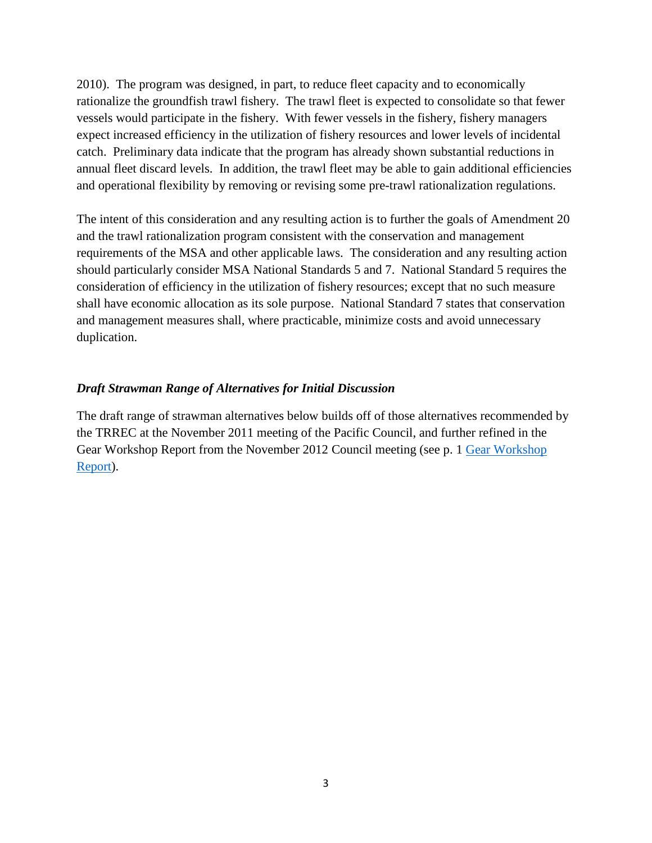2010). The program was designed, in part, to reduce fleet capacity and to economically rationalize the groundfish trawl fishery. The trawl fleet is expected to consolidate so that fewer vessels would participate in the fishery. With fewer vessels in the fishery, fishery managers expect increased efficiency in the utilization of fishery resources and lower levels of incidental catch. Preliminary data indicate that the program has already shown substantial reductions in annual fleet discard levels. In addition, the trawl fleet may be able to gain additional efficiencies and operational flexibility by removing or revising some pre-trawl rationalization regulations.

The intent of this consideration and any resulting action is to further the goals of Amendment 20 and the trawl rationalization program consistent with the conservation and management requirements of the MSA and other applicable laws. The consideration and any resulting action should particularly consider MSA National Standards 5 and 7. National Standard 5 requires the consideration of efficiency in the utilization of fishery resources; except that no such measure shall have economic allocation as its sole purpose. National Standard 7 states that conservation and management measures shall, where practicable, minimize costs and avoid unnecessary duplication.

### *Draft Strawman Range of Alternatives for Initial Discussion*

The draft range of strawman alternatives below builds off of those alternatives recommended by the TRREC at the November 2011 meeting of the Pacific Council, and further refined in the Gear Workshop Report from the November 2012 Council meeting (see p. 1 [Gear Workshop](http://www.pcouncil.org/wp-content/uploads/I5a_ATT4_GEAR_WKSHP_NOV2012BB.pdf)  [Report\)](http://www.pcouncil.org/wp-content/uploads/I5a_ATT4_GEAR_WKSHP_NOV2012BB.pdf).